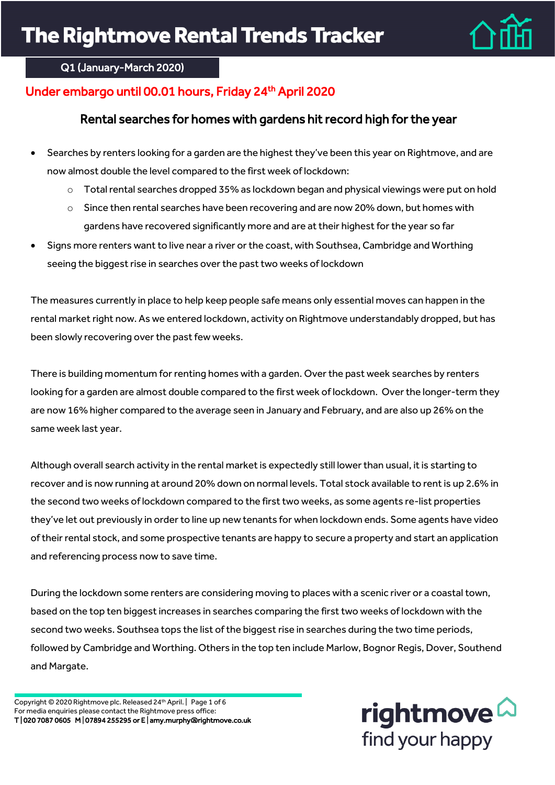

### Q1 (January-March 2020)

# Under embargo until 00.01 hours, Friday 24<sup>th</sup> April 2020

## Rental searches for homes with gardens hit record high for the year

- Searches by renters looking for a garden are the highest they've been this year on Rightmove, and are now almost double the level compared to the first week of lockdown:
	- $\circ$  Total rental searches dropped 35% as lockdown began and physical viewings were put on hold
	- o Since then rental searches have been recovering and are now 20% down, but homes with gardens have recovered significantly more and are at their highest for the year so far
- Signs more renters want to live near a river or the coast, with Southsea, Cambridge and Worthing seeing the biggest rise in searches over the past two weeks of lockdown

The measures currently in place to help keep people safe means only essential moves can happen in the rental market right now. As we entered lockdown, activity on Rightmove understandably dropped, but has been slowly recovering over the past few weeks.

There is building momentum for renting homes with a garden. Over the past week searches by renters looking for a garden are almost double compared to the first week of lockdown. Over the longer-term they are now 16% higher compared to the average seen in January and February, and are also up 26% on the same week last year.

Although overall search activity in the rental market is expectedly still lower than usual, it is starting to recover and is now running at around 20% down on normal levels. Total stock available to rent is up 2.6% in the second two weeks of lockdown compared to the first two weeks, as some agents re-list properties they've let out previously in order to line up new tenants for when lockdown ends. Some agents have video of their rental stock, and some prospective tenants are happy to secure a property and start an application and referencing process now to save time.

During the lockdown some renters are considering moving to places with a scenic river or a coastal town, based on the top ten biggest increases in searches comparing the first two weeks of lockdown with the second two weeks. Southsea tops the list of the biggest rise in searches during the two time periods, followed by Cambridge and Worthing. Others in the top ten include Marlow, Bognor Regis, Dover, Southend and Margate.

Copyright © 2020 Rightmove plc. Released 24th April. | Page 1 of 6 For media enquiries please contact the Rightmove press office: T | 020 7087 0605 M | 07894 255295 or E | amy.murphy@rightmove.co.uk

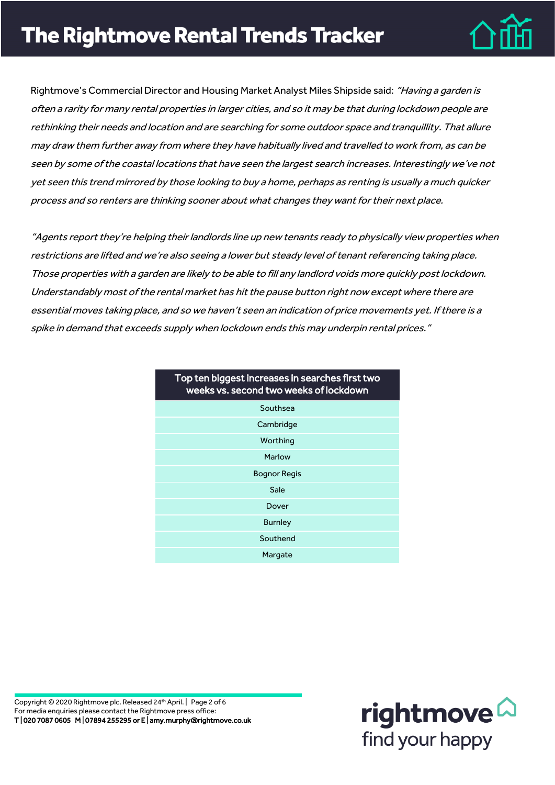

Rightmove's Commercial Director and Housing Market Analyst Miles Shipside said: "Having a garden is often <sup>a</sup> rarity for many rental properties in larger cities, and so it may be that during lockdown people are rethinking their needs and location and are searching for some outdoor space and tranquillity. That allure may draw them further away from where they have habitually lived and travelled to work from, as can be seen by some of the coastal locations that have seen the largest search increases. Interestingly we've not yet seen this trend mirrored by those looking to buy a home, perhaps as renting is usually a much quicker process and so renters are thinking sooner about what changes they want fortheir next place.

"Agents report they're helping their landlords line up new tenants ready to physically view properties when restrictions are lifted and we're also seeing a lower but steady level of tenant referencing taking place. Those properties with a garden are likely to be able to fill any landlord voids more quickly post lockdown. Understandably most ofthe rental market has hit the pause button right now except where there are essential moves taking place, and so we haven't seen an indication of price movements yet. If there is a spike in demand that exceeds supply when lockdown ends this may underpin rental prices."

| Top ten biggest increases in searches first two<br>weeks vs. second two weeks of lockdown |  |  |
|-------------------------------------------------------------------------------------------|--|--|
| Southsea                                                                                  |  |  |
| Cambridge                                                                                 |  |  |
| Worthing                                                                                  |  |  |
| Marlow                                                                                    |  |  |
| <b>Bognor Regis</b>                                                                       |  |  |
| Sale                                                                                      |  |  |
| Dover                                                                                     |  |  |
| <b>Burnley</b>                                                                            |  |  |
| Southend                                                                                  |  |  |
| Margate                                                                                   |  |  |

Copyright © 2020 Rightmove plc. Released 24th April. | Page 2 of 6 For media enquiries please contact the Rightmove press office: T | 020 7087 0605 M | 07894 255295 or E | amy.murphy@rightmove.co.uk

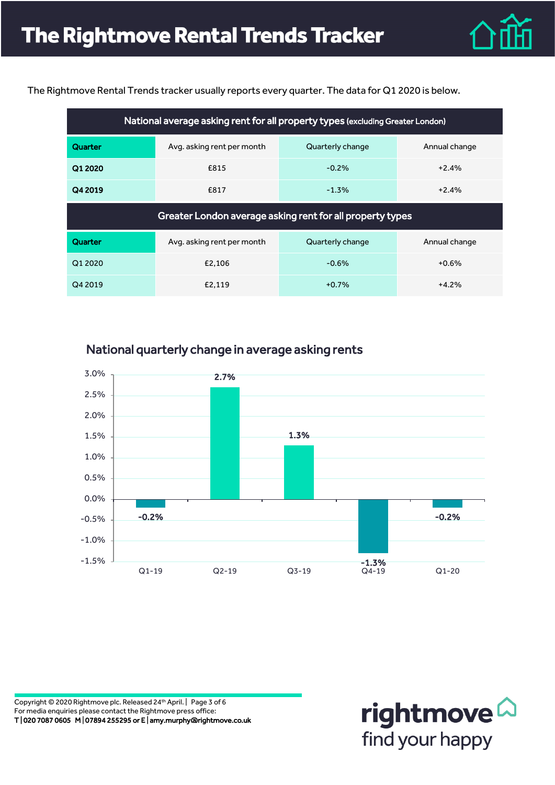

The Rightmove Rental Trends tracker usually reports every quarter. The data for Q1 2020 is below.

| National average asking rent for all property types (excluding Greater London) |                                                           |                  |               |  |
|--------------------------------------------------------------------------------|-----------------------------------------------------------|------------------|---------------|--|
| Quarter                                                                        | Avg. asking rent per month                                | Quarterly change | Annual change |  |
| Q1 2020                                                                        | £815                                                      | $-0.2%$          | $+2.4%$       |  |
| Q4 2019                                                                        | £817                                                      | $-1.3%$          | $+2.4%$       |  |
|                                                                                |                                                           |                  |               |  |
|                                                                                | Greater London average asking rent for all property types |                  |               |  |
| Quarter                                                                        | Avg. asking rent per month                                | Quarterly change | Annual change |  |
| Q1 2020                                                                        | £2.106                                                    | $-0.6%$          | $+0.6%$       |  |



National quarterly change in average asking rents

Copyright © 2020 Rightmove plc. Released 24th April. | Page 3 of 6 For media enquiries please contact the Rightmove press office: T | 020 7087 0605 M | 07894 255295 or E | amy.murphy@rightmove.co.uk

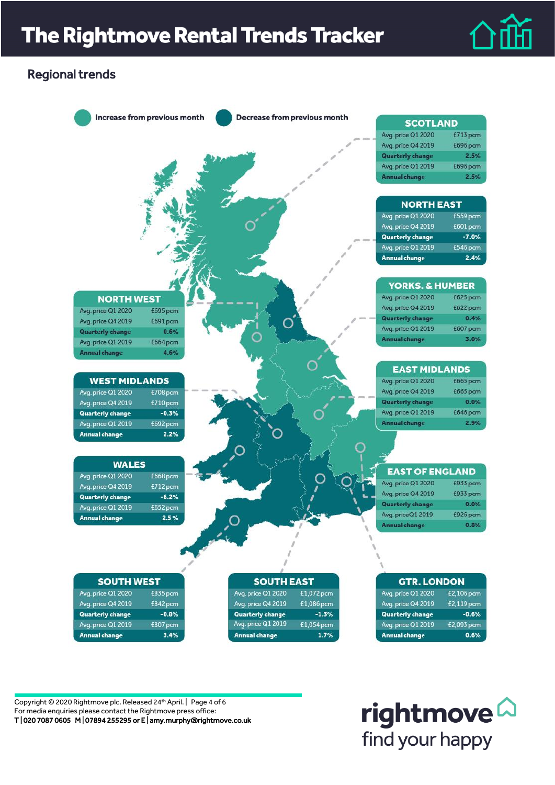

## Regional trends



Copyright © 2020 Rightmove plc. Released 24th April. | Page 4 of 6 For media enquiries please contact the Rightmove press office: T | 020 7087 0605 M | 07894 255295 or E | amy.murphy@rightmove.co.uk

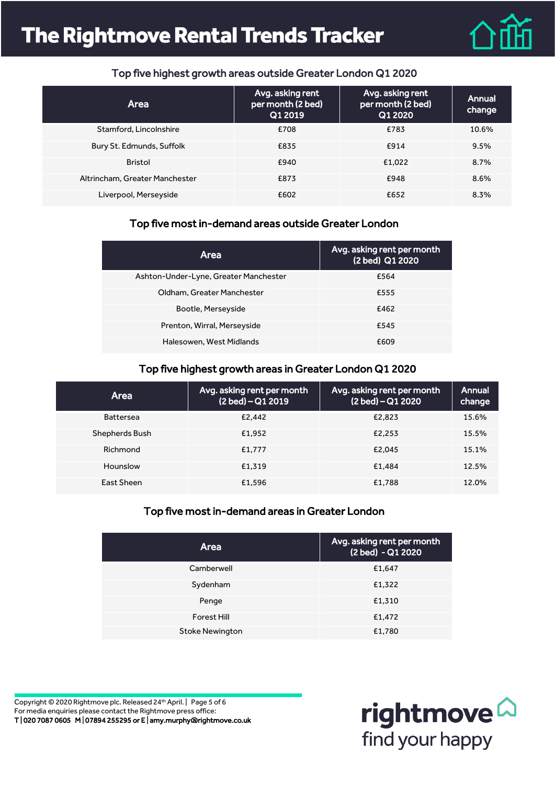# **The Rightmove Rental Trends Tracker**



#### Top five highest growth areas outside Greater London Q1 2020

| Area                           | Avg. asking rent<br>per month (2 bed)<br>Q1 2019 | Avg. asking rent<br>per month (2 bed)<br>Q1 2020 | Annual<br>change |
|--------------------------------|--------------------------------------------------|--------------------------------------------------|------------------|
| Stamford, Lincolnshire         | £708                                             | £783                                             | 10.6%            |
| Bury St. Edmunds, Suffolk      | £835                                             | £914                                             | 9.5%             |
| <b>Bristol</b>                 | £940                                             | £1,022                                           | 8.7%             |
| Altrincham, Greater Manchester | £873                                             | £948                                             | 8.6%             |
| Liverpool, Merseyside          | £602                                             | £652                                             | 8.3%             |

#### Top five most in-demand areas outside Greater London

| Area                                  | Avg. asking rent per month<br>(2 bed) Q1 2020 |
|---------------------------------------|-----------------------------------------------|
| Ashton-Under-Lyne, Greater Manchester | £564                                          |
| Oldham, Greater Manchester            | £555                                          |
| Bootle, Merseyside                    | £462                                          |
| Prenton, Wirral, Merseyside           | £545                                          |
| Halesowen, West Midlands              | £609                                          |

#### Top five highest growth areas in Greater London Q1 2020

| <b>Area</b>      | Avg. asking rent per month<br>$(2 \text{ bed}) - \overline{Q12019}$ | Avg. asking rent per month<br>(2 bed) – Q1 2020 | Annual<br>change |
|------------------|---------------------------------------------------------------------|-------------------------------------------------|------------------|
| <b>Battersea</b> | £2,442                                                              | £2,823                                          | 15.6%            |
| Shepherds Bush   | £1.952                                                              | £2.253                                          | 15.5%            |
| Richmond         | £1.777                                                              | £2.045                                          | 15.1%            |
| Hounslow         | £1.319                                                              | £1.484                                          | 12.5%            |
| East Sheen       | £1.596                                                              | £1.788                                          | 12.0%            |

#### Top five most in-demand areas in Greater London

| <b>Area</b>            | Avg. asking rent per month<br>(2 bed) - Q1 2020 |
|------------------------|-------------------------------------------------|
| Camberwell             | £1,647                                          |
| Sydenham               | £1,322                                          |
| Penge                  | £1,310                                          |
| Forest Hill            | £1,472                                          |
| <b>Stoke Newington</b> | £1,780                                          |

Copyright © 2020 Rightmove plc. Released 24th April. | Page 5 of 6 For media enquiries please contact the Rightmove press office: T | 020 7087 0605 M | 07894 255295 or E | amy.murphy@rightmove.co.uk